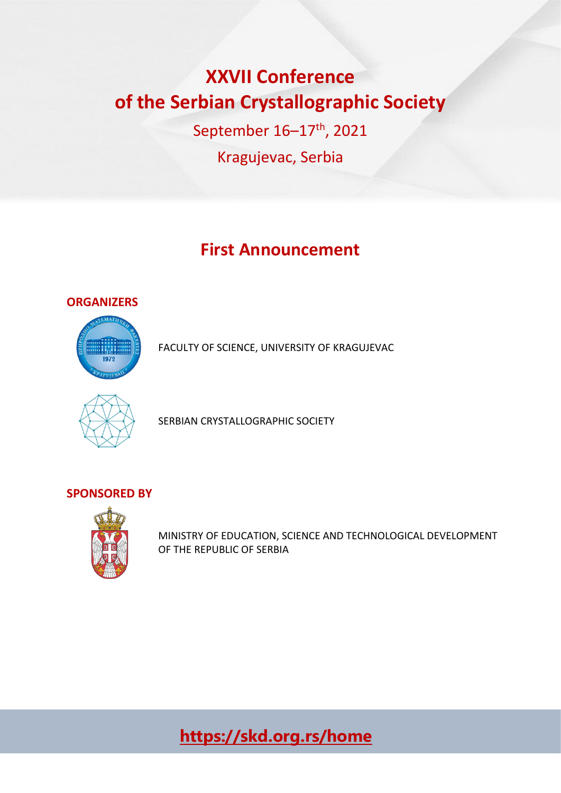# **XXVII Conference of the Serbian Crystallographic Society**

September 16–17th, 2021 Kragujevac, Serbia

## **First Announcement**

### **ORGANIZERS**



FACULTY OF SCIENCE, UNIVERSITY OF KRAGUJEVAC



SERBIAN CRYSTALLOGRAPHIC SOCIETY

## **SPONSORED BY**



MINISTRY OF EDUCATION, SCIENCE AND TECHNOLOGICAL DEVELOPMENT OF THE REPUBLIC OF SERBIA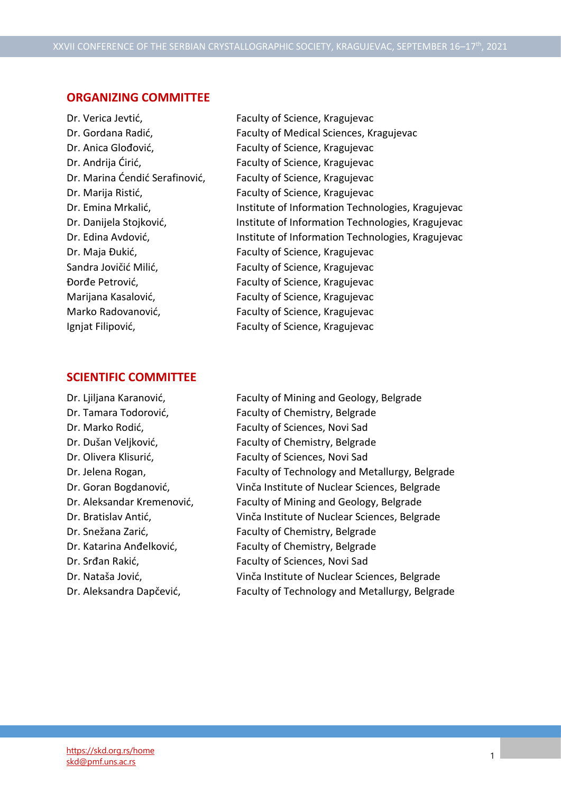#### **ORGANIZING COMMITTEE**

- 
- Dr. Verica Jevtić, Faculty of Science, Kragujevac Dr. Gordana Radić, Faculty of Medical Sciences, Kragujevac Dr. Anica Glođović, Faculty of Science, Kragujevac Dr. Andrija Ćirić, Faculty of Science, Kragujevac Dr. Marina Ćendić Serafinović, Faculty of Science, Kragujevac Dr. Marija Ristić, Faculty of Science, Kragujevac Dr. Emina Mrkalić, **Institute of Information Technologies, Kragujevac** Dr. Danijela Stojković, **Institute of Information Technologies, Kragujevac** Dr. Edina Avdović, The Institute of Information Technologies, Kragujevac Dr. Maja Đukić, Faculty of Science, Kragujevac Sandra Jovičić Milić, Faculty of Science, Kragujevac Đorđe Petrović, Faculty of Science, Kragujevac Marijana Kasalović, Faculty of Science, Kragujevac Marko Radovanović, Faculty of Science, Kragujevac Ignjat Filipović, Faculty of Science, Kragujevac

#### **SCIENTIFIC COMMITTEE**

Dr. Ljiljana Karanović, Faculty of Mining and Geology, Belgrade Dr. Tamara Todorović, Faculty of Chemistry, Belgrade Dr. Marko Rodić, Faculty of Sciences, Novi Sad Dr. Dušan Veljković, Faculty of Chemistry, Belgrade Dr. Olivera Klisurić, Faculty of Sciences, Novi Sad Dr. Jelena Rogan, Faculty of Technology and Metallurgy, Belgrade Dr. Goran Bogdanović, Vinča Institute of Nuclear Sciences, Belgrade Dr. Aleksandar Kremenović, Faculty of Mining and Geology, Belgrade Dr. Bratislav Antić, Vinča Institute of Nuclear Sciences, Belgrade Dr. Snežana Zarić, Faculty of Chemistry, Belgrade Dr. Katarina Anđelković, Faculty of Chemistry, Belgrade Dr. Srđan Rakić, Faculty of Sciences, Novi Sad Dr. Nataša Jović, Vinča Institute of Nuclear Sciences, Belgrade Dr. Aleksandra Dapčević, Faculty of Technology and Metallurgy, Belgrade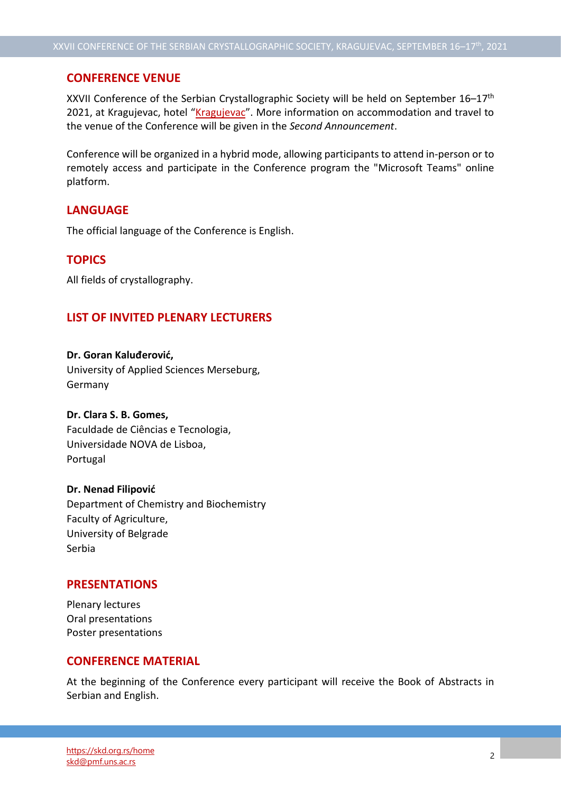#### **CONFERENCE VENUE**

XXVII Conference of the Serbian Crystallographic Society will be held on September 16–17th 2021, at [Kragujevac](https://www.hotelkragujevac.com/), hotel "Kragujevac". More information on accommodation and travel to the venue of the Conference will be given in the *Second Announcement*.

Conference will be organized in a hybrid mode, allowing participants to attend in-person or to remotely access and participate in the Conference program the "Microsoft Teams" online platform.

#### **LANGUAGE**

The official language of the Conference is English.

#### **TOPICS**

All fields of crystallography.

#### **LIST OF INVITED PLENARY LECTURERS**

**Dr. Goran Kaluđerović,**  University of Applied Sciences Merseburg, Germany

#### **Dr. Clara S. B. Gomes,**

Faculdade de Ciências e Tecnologia, Universidade NOVA de Lisboa, Portugal

#### **Dr. Nenad Filipović**

Department of Chemistry and Biochemistry Faculty of Agriculture, University of Belgrade Serbia

#### **PRESENTATIONS**

Plenary lectures Oral presentations Poster presentations

#### **CONFERENCE MATERIAL**

At the beginning of the Conference every participant will receive the Book of Abstracts in Serbian and English.